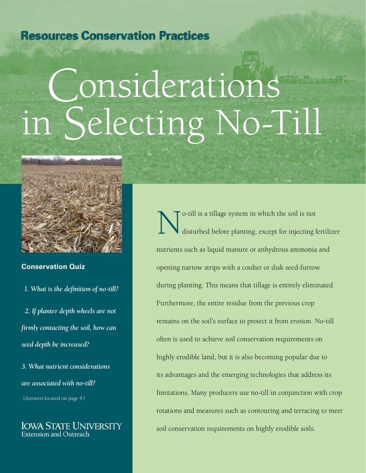# **Resources Conservation Practices**

# Considerations Selecting No-Till



**Conservation Quiz**

 *1. What is the definition of no-till? 2. If planter depth wheels are not firmly contacting the soil, how can seed depth be increased?* 

*3. What nutrient considerations are associated with no-till?* (Answers located on page 4.)

**IOWA STATE UNIVERSITY** Extension and Outreach

O-till is a tillage system in which the soil is not<br>disturbed before planting, except for injecting f disturbed before planting, except for injecting fertilizer nutrients such as liquid manure or anhydrous ammonia and opening narrow strips with a coulter or disk seed-furrow during planting. This means that tillage is entirely eliminated. Furthermore, the entire residue from the previous crop remains on the soil's surface to protect it from erosion. No-till often is used to achieve soil conservation requirements on highly erodible land, but it is also becoming popular due to its advantages and the emerging technologies that address its limitations. Many producers use no-till in conjunction with crop rotations and measures such as contouring and terracing to meet soil conservation requirements on highly erodible soils.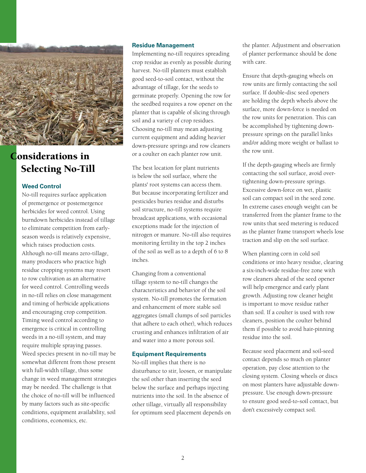

# Considerations in Selecting No-Till

## **Weed Control**

No-till requires surface application of premergence or postemergence herbicides for weed control. Using burndown herbicides instead of tillage to eliminate competition from earlyseason weeds is relatively expensive, which raises production costs. Although no-till means zero-tillage, many producers who practice high residue cropping systems may resort to row cultivation as an alternative for weed control. Controlling weeds in no-till relies on close management and timing of herbicide applications and encouraging crop competition. Timing weed control according to emergence is critical in controlling weeds in a no-till system, and may require multiple spraying passes. Weed species present in no-till may be somewhat different from those present with full-width tillage, thus some change in weed management strategies may be needed. The challenge is that the choice of no-till will be influenced by many factors such as site-specific conditions, equipment availability, soil conditions, economics, etc.

#### **Residue Management**

Implementing no-till requires spreading crop residue as evenly as possible during harvest. No-till planters must establish good seed-to-soil contact, without the advantage of tillage, for the seeds to germinate properly. Opening the row for the seedbed requires a row opener on the planter that is capable of slicing through soil and a variety of crop residues. Choosing no-till may mean adjusting current equipment and adding heavier down-pressure springs and row cleaners or a coulter on each planter row unit.

The best location for plant nutrients is below the soil surface, where the plants' root systems can access them. But because incorporating fertilizer and pesticides buries residue and disturbs soil structure, no-till systems require broadcast applications, with occasional exceptions made for the injection of nitrogen or manure. No-till also requires monitoring fertility in the top 2 inches of the soil as well as to a depth of 6 to 8 inches.

Changing from a conventional tillage system to no-till changes the characteristics and behavior of the soil system. No-till promotes the formation and enhancement of more stable soil aggregates (small clumps of soil particles that adhere to each other), which reduces crusting and enhances infiltration of air and water into a more porous soil.

### **Equipment Requirements**

No-till implies that there is no disturbance to stir, loosen, or manipulate the soil other than inserting the seed below the surface and perhaps injecting nutrients into the soil. In the absence of other tillage, virtually all responsibility for optimum seed placement depends on

the planter. Adjustment and observation of planter performance should be done with care.

Ensure that depth-gauging wheels on row units are firmly contacting the soil surface. If double-disc seed openers are holding the depth wheels above the surface, more down-force is needed on the row units for penetration. This can be accomplished by tightening downpressure springs on the parallel links and/or adding more weight or ballast to the row unit.

If the depth-gauging wheels are firmly contacting the soil surface, avoid overtightening down-pressure springs. Excessive down-force on wet, plastic soil can compact soil in the seed zone. In extreme cases enough weight can be transferred from the planter frame to the row units that seed metering is reduced as the planter frame transport wheels lose traction and slip on the soil surface.

When planting corn in cold soil conditions or into heavy residue, clearing a six-inch-wide residue-free zone with row cleaners ahead of the seed opener will help emergence and early plant growth. Adjusting row cleaner height is important to move residue rather than soil. If a coulter is used with row cleaners, position the coulter behind them if possible to avoid hair-pinning residue into the soil.

Because seed placement and soil-seed contact depends so much on planter operation, pay close attention to the closing system. Closing wheels or discs on most planters have adjustable downpressure. Use enough down-pressure to ensure good seed-to-soil contact, but don't excessively compact soil.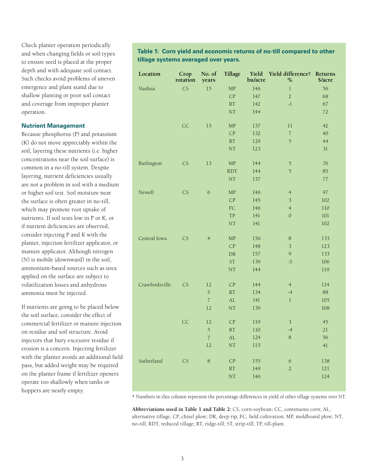Check planter operation periodically and when changing fields or soil types to ensure seed is placed at the proper depth and with adequate soil contact. Such checks avoid problems of uneven emergence and plant stand due to shallow planting or poor soil contact and coverage from improper planter operation.

#### **Nutrient Management**

Because phosphorus (P) and potassium (K) do not move appreciably within the soil, layering these nutrients (i.e. higher concentrations near the soil surface) is common in a no-till system. Despite layering, nutrient deficiencies usually are not a problem in soil with a medium or higher soil test. Soil moisture near the surface is often greater in no-till, which may promote root uptake of nutrients. If soil tests low in P or K, or if nutrient deficiencies are observed, consider injecting P and K with the planter, injection fertilizer applicator, or manure applicator. Although nitrogen (N) is mobile (downward) in the soil, ammonium-based sources such as urea applied on the surface are subject to volatilization losses and anhydrous ammonia must be injected.

If nutrients are going to be placed below the soil surface, consider the effect of commercial fertilizer or manure injection on residue and soil structure. Avoid injectors that bury excessive residue if erosion is a concern. Injecting fertilizer with the planter avoids an additional field pass, but added weight may be required on the planter frame if fertilizer openers operate too shallowly when tanks or hoppers are nearly empty.

# **Table 1: Corn yield and economic returns of no-till compared to other tillage systems averaged over years.**

| Location       | Crop<br>rotation | No. of<br>years  | Tillage           | Yield<br>bu/acre | Yield difference† Returns<br>$\%$ | \$/acre |
|----------------|------------------|------------------|-------------------|------------------|-----------------------------------|---------|
| Nashua         | CS               | 15               | MP                | 146              | $\,1$                             | 56      |
|                |                  |                  | CP                | 147              | $\overline{2}$                    | 68      |
|                |                  |                  | RT                | 142              | $-1$                              | 67      |
|                |                  |                  | NT                | 144              |                                   | 72      |
|                | CC               | 15               | MP                | 137              | 11                                | 42      |
|                |                  |                  | CP                | 132              | $\boldsymbol{7}$                  | 40      |
|                |                  |                  | RT                | 129              | 5                                 | 44      |
|                |                  |                  | $\rm{NT}$         | 123              |                                   | 31      |
| Burlington     | CS               | 13               | MP                | 144              | 5                                 | 76      |
|                |                  |                  | <b>RDT</b>        | 144              | $\overline{5}$                    | 85      |
|                |                  |                  | NT                | 137              |                                   | $77 \,$ |
| Newell         | CS               | $\sqrt{6}$       | MP                | 146              | $\overline{4}$                    | 97      |
|                |                  |                  | CP                | 145              | $\overline{\mathbf{3}}$           | 102     |
|                |                  |                  | ${\rm FC}$        | 146              | $\overline{4}$                    | 110     |
|                |                  |                  | <b>TP</b>         | 141              | $\mathbf{O}$                      | $101\,$ |
|                |                  |                  | $\rm{NT}$         | 141              |                                   | 102     |
| Central Iowa   | CS               | $\overline{4}$   | ${\rm MP}$        | 156              | 8                                 | 133     |
|                |                  |                  | CP                | 148              | $\overline{\mathbf{3}}$           | 123     |
|                |                  |                  | ${\rm DR}$        | 157              | $\overline{9}$                    | 133     |
|                |                  |                  | ST                | 139              | $-3$                              | 106     |
|                |                  |                  | NT                | 144              |                                   | 119     |
| Crawfordsville | CS               | 12               | CP                | 144              | $\overline{4}$                    | 114     |
|                |                  | $\overline{5}$   | RT                | 134              | $-4$                              | 88      |
|                |                  | $\boldsymbol{7}$ | $\mathbf{AL}$     | 141              | $\,1$                             | 105     |
|                |                  | 12               | NT                | 139              |                                   | 108     |
|                | CC               | 12               | CP                | 119              | $\mathfrak{Z}$                    | 45      |
|                |                  | $\mathfrak s$    | RT                | 110              | $-4$                              | $21\,$  |
|                |                  | $\overline{7}$   | AL                | 124              | $\,8\,$                           | 56      |
|                |                  | 12               | NT                | $115\,$          |                                   | 41      |
| Sutherland     | CS               | $\,8\,$          | CP                | 155              | $\boldsymbol{6}$                  | 138     |
|                |                  |                  | $\mathop{\rm RT}$ | 149              | $\overline{2}$                    | $121\,$ |
|                |                  |                  | NT                | 146              |                                   | 124     |

† Numbers in this column represent the percentage differences in yield of other tillage systems over NT.

**Abbreviations used in Table 1 and Table 2:** CS, corn-soybean; CC, continuous corn; AL, alternative tillage; CP, chisel plow; DR, deep rip; FC, field cultivation; MP, moldboard plow; NT, no-till; RDT, reduced tillage; RT, ridge-till; ST, strip-till; TP, till-plant.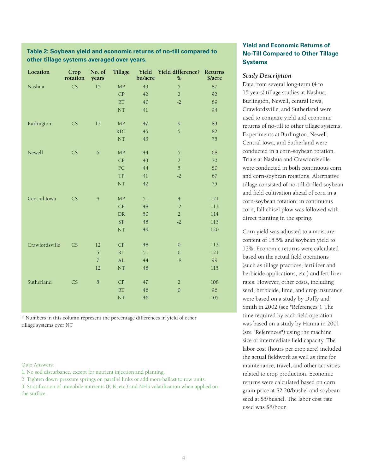## **Table 2: Soybean yield and economic returns of no-till compared to other tillage systems averaged over years.**

| Location       | Crop<br>rotation | No. of<br>years | Tillage    | bu/acre | Yield Yield difference† Returns<br>$\%$   | \$/acre |
|----------------|------------------|-----------------|------------|---------|-------------------------------------------|---------|
| Nashua         | CS               | 15              | MP         | 43      | 5                                         | 87      |
|                |                  |                 | CP         | 42      | $\overline{2}$                            | 92      |
|                |                  |                 | RT         | 40      | $-2$                                      | 89      |
|                |                  |                 | NT         | 41      |                                           | 94      |
| Burlington     | CS               | 13              | MP         | 47      | $\mathcal{G}$                             | 83      |
|                |                  |                 | <b>RDT</b> | 45      | 5                                         | 82      |
|                |                  |                 | NT         | 43      |                                           | 75      |
| Newell         | CS               | 6               | MP         | 44      | $\mathfrak{H}% _{F,F}=\mathfrak{H}_{F,F}$ | 68      |
|                |                  |                 | CP         | 43      | $\overline{2}$                            | 70      |
|                |                  |                 | ${\rm FC}$ | 44      | 5                                         | 80      |
|                |                  |                 | TP         | 41      | $-2$                                      | 67      |
|                |                  |                 | NT         | 42      |                                           | 75      |
| Central Iowa   | CS               | $\overline{4}$  | MP         | 51      | $\overline{4}$                            | 121     |
|                |                  |                 | CP         | 48      | $-2$                                      | 113     |
|                |                  |                 | DR         | 50      | $\overline{2}$                            | 114     |
|                |                  |                 | ST         | 48      | $-2$                                      | 113     |
|                |                  |                 | NT         | 49      |                                           | 120     |
| Crawfordsville | CS               | 12              | CP         | 48      | $\mathbf{0}$                              | 113     |
|                |                  | $\overline{5}$  | RT         | 51      | 6                                         | 121     |
|                |                  | $\overline{7}$  | AL         | 44      | $-8$                                      | 99      |
|                |                  | 12              | NT         | 48      |                                           | 115     |
| Sutherland     | CS               | $\,8\,$         | CP         | 47      | $\overline{2}$                            | 108     |
|                |                  |                 | RT         | 46      | $\mathbf{0}$                              | 96      |
|                |                  |                 | NT         | 46      |                                           | 105     |

† Numbers in this column represent the percentage differences in yield of other tillage systems over NT

Quiz Answers:

1. No soil disturbance, except for nutrient injection and planting.

2. Tighten down-pressure springs on parallel links or add more ballast to row units.

3. Stratification of immobile nutrients (P, K, etc.) and NH3 volatilization when applied on the surface.

# **Yield and Economic Returns of No-Till Compared to Other Tillage Systems**

### *Study Description*

Data from several long-term (4 to 15 years) tillage studies at Nashua, Burlington, Newell, central Iowa, Crawfordsville, and Sutherland were used to compare yield and economic returns of no-till to other tillage systems. Experiments at Burlington, Newell, Central Iowa, and Sutherland were conducted in a corn-soybean rotation. Trials at Nashua and Crawfordsville were conducted in both continuous corn and corn-soybean rotations. Alternative tillage consisted of no-till drilled soybean and field cultivation ahead of corn in a corn-soybean rotation; in continuous corn, fall chisel plow was followed with direct planting in the spring.

Corn yield was adjusted to a moisture content of 15.5% and soybean yield to 13%. Economic returns were calculated based on the actual field operations (such as tillage practices, fertilizer and herbicide applications, etc.) and fertilizer rates. However, other costs, including seed, herbicide, lime, and crop insurance, were based on a study by Duffy and Smith in 2002 (see "References"). The time required by each field operation was based on a study by Hanna in 2001 (see "References") using the machine size of intermediate field capacity. The labor cost (hours per crop acre) included the actual fieldwork as well as time for maintenance, travel, and other activities related to crop production. Economic returns were calculated based on corn grain price at \$2.20/bushel and soybean seed at \$5/bushel. The labor cost rate used was \$8/hour.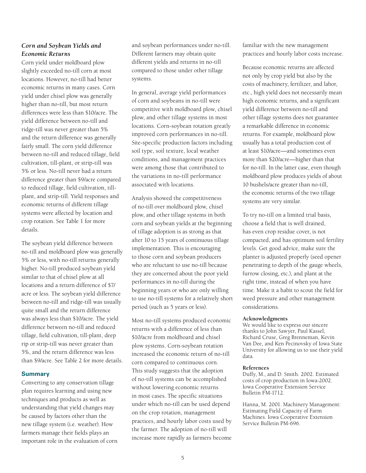# *Corn and Soybean Yields and Economic Returns*

Corn yield under moldboard plow slightly exceeded no-till corn at most locations. However, no-till had better economic returns in many cases. Corn yield under chisel plow was generally higher than no-till, but most return differences were less than \$10/acre. The yield difference between no-till and ridge-till was never greater than 5% and the return difference was generally fairly small. The corn yield difference between no-till and reduced tillage, field cultivation, till-plant, or strip-till was 5% or less. No-till never had a return difference greater than \$9/acre compared to reduced tillage, field cultivation, tillplant, and strip-till. Yield responses and economic returns of different tillage systems were affected by location and crop rotation. See Table 1 for more details.

The soybean yield difference between no-till and moldboard plow was generally 5% or less, with no-till returns generally higher. No-till produced soybean yield similar to that of chisel plow at all locations and a return difference of \$7/ acre or less. The soybean yield difference between no-till and ridge-till was usually quite small and the return difference was always less than \$10/acre. The yield difference between no-till and reduced tillage, field cultivation, till-plant, deep rip or strip-till was never greater than 5%, and the return difference was less than \$9/acre. See Table 2 for more details.

## **Summary**

Converting to any conservation tillage plan requires learning and using new techniques and products as well as understanding that yield changes may be caused by factors other than the new tillage system (i.e. weather). How farmers manage their fields plays an important role in the evaluation of corn and soybean performances under no-till. Different farmers may obtain quite different yields and returns in no-till compared to those under other tillage systems.

In general, average yield performances of corn and soybeans in no-till were competitive with moldboard plow, chisel plow, and other tillage systems in most locations. Corn-soybean rotation greatly improved corn performances in no-till. Site-specific production factors including soil type, soil texture, local weather conditions, and management practices were among those that contributed to the variations in no-till performance associated with locations.

Analysis showed the competitiveness of no-till over moldboard plow, chisel plow, and other tillage systems in both corn and soybean yields at the beginning of tillage adoption is as strong as that after 10 to 15 years of continuous tillage implementation. This is encouraging to those corn and soybean producers who are reluctant to use no-till because they are concerned about the poor yield performances in no-till during the beginning years or who are only willing to use no-till systems for a relatively short period (such as 5 years or less).

Most no-till systems produced economic returns with a difference of less than \$10/acre from moldboard and chisel plow systems. Corn-soybean rotation increased the economic return of no-till corn compared to continuous corn. This study suggests that the adoption of no-till systems can be accomplished without lowering economic returns in most cases. The specific situations under which no-till can be used depend on the crop rotation, management practices, and hourly labor costs used by the farmer. The adoption of no-till will increase more rapidly as farmers become familiar with the new management practices and hourly labor costs increase.

Because economic returns are affected not only by crop yield but also by the costs of machinery, fertilizer, and labor, etc., high yield does not necessarily mean high economic returns, and a significant yield difference between no-till and other tillage systems does not guarantee a remarkable difference in economic returns. For example, moldboard plow usually has a total production cost of at least \$10/acre—and sometimes even more than \$20/acre—higher than that for no-till. In the latter case, even though moldboard plow produces yields of about 10 bushels/acre greater than no-till, the economic returns of the two tillage systems are very similar.

To try no-till on a limited trial basis, choose a field that is well drained, has even crop residue cover, is not compacted, and has optimum soil fertility levels. Get good advice, make sure the planter is adjusted properly (seed opener penetrating to depth of the gauge wheels, furrow closing, etc.), and plant at the right time, instead of when you have time. Make it a habit to scout the field for weed pressure and other management considerations.

#### **Acknowledgments**

We would like to express our sincere thanks to John Sawyer, Paul Kassel, Richard Cruse, Greg Brenneman, Kevin Van Dee, and Ken Pecinovsky of Iowa State University for allowing us to use their yield data.

#### **References**

Duffy, M., and D. Smith. 2002. Estimated costs of crop production in Iowa-2002. Iowa Cooperative Extension Service Bulletin FM-1712.

Hanna, M. 2001. Machinery Management: Estimating Field Capacity of Farm Machines. Iowa Cooperative Extension Service Bulletin PM-696.